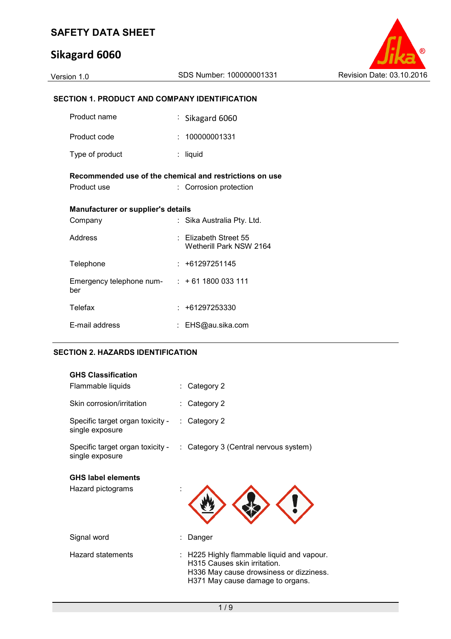# **Sikagard 6060**



#### **SECTION 1. PRODUCT AND COMPANY IDENTIFICATION**

| Product name                                                           |  | $\frac{1}{2}$ Sikagard 6060                          |  |  |  |
|------------------------------------------------------------------------|--|------------------------------------------------------|--|--|--|
| Product code                                                           |  | : 100000001331                                       |  |  |  |
| Type of product                                                        |  | liquid                                               |  |  |  |
| Recommended use of the chemical and restrictions on use<br>Product use |  | : Corrosion protection                               |  |  |  |
| Manufacturer or supplier's details                                     |  |                                                      |  |  |  |
| Company                                                                |  | Sika Australia Pty. Ltd.                             |  |  |  |
| Address                                                                |  | $\pm$ Elizabeth Street 55<br>Wetherill Park NSW 2164 |  |  |  |
| Telephone                                                              |  | $: +61297251145$                                     |  |  |  |
| Emergency telephone num- $: +611800033111$<br>ber                      |  |                                                      |  |  |  |
| <b>Telefax</b>                                                         |  | $: +61297253330$                                     |  |  |  |
| E-mail address                                                         |  | EHS@au.sika.com                                      |  |  |  |

#### **SECTION 2. HAZARDS IDENTIFICATION**

| <b>GHS Classification</b><br>Flammable liquids      | Category 2                                                                                                                                              |
|-----------------------------------------------------|---------------------------------------------------------------------------------------------------------------------------------------------------------|
| Skin corrosion/irritation                           | Category 2                                                                                                                                              |
| Specific target organ toxicity -<br>single exposure | Category 2                                                                                                                                              |
| Specific target organ toxicity -<br>single exposure | : Category 3 (Central nervous system)                                                                                                                   |
| <b>GHS label elements</b><br>Hazard pictograms      |                                                                                                                                                         |
| Signal word                                         | Danger                                                                                                                                                  |
| Hazard statements                                   | H225 Highly flammable liquid and vapour.<br>H315 Causes skin irritation.<br>H336 May cause drowsiness or dizziness.<br>H371 May cause damage to organs. |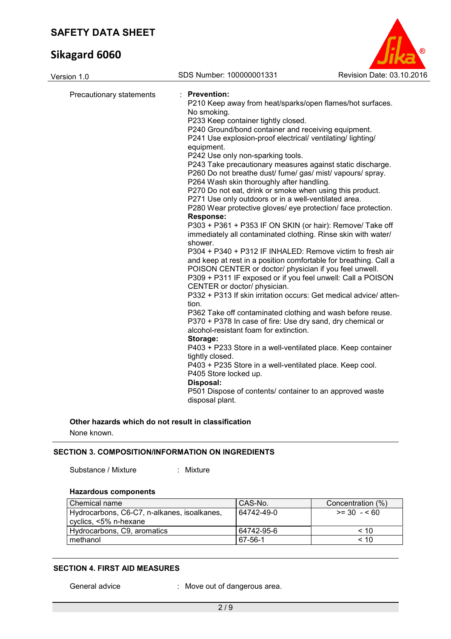# **Sikagard 6060**



| Version 1.0              | SDS Number: 100000001331                                                                                                                                                                                                                                                                                                                                                                                                                                                                                                                                                                                                                                                                                                                                                                                                                                                                                                                                                                                                                                                                                                                                                                                                                                                                                                                                                                                                                                                                                                                                                                                                                                          | Revision Date: 03.10.2016 |
|--------------------------|-------------------------------------------------------------------------------------------------------------------------------------------------------------------------------------------------------------------------------------------------------------------------------------------------------------------------------------------------------------------------------------------------------------------------------------------------------------------------------------------------------------------------------------------------------------------------------------------------------------------------------------------------------------------------------------------------------------------------------------------------------------------------------------------------------------------------------------------------------------------------------------------------------------------------------------------------------------------------------------------------------------------------------------------------------------------------------------------------------------------------------------------------------------------------------------------------------------------------------------------------------------------------------------------------------------------------------------------------------------------------------------------------------------------------------------------------------------------------------------------------------------------------------------------------------------------------------------------------------------------------------------------------------------------|---------------------------|
| Precautionary statements | : Prevention:<br>P210 Keep away from heat/sparks/open flames/hot surfaces.<br>No smoking.<br>P233 Keep container tightly closed.<br>P240 Ground/bond container and receiving equipment.<br>P241 Use explosion-proof electrical/ ventilating/ lighting/<br>equipment.<br>P242 Use only non-sparking tools.<br>P243 Take precautionary measures against static discharge.<br>P260 Do not breathe dust/ fume/ gas/ mist/ vapours/ spray.<br>P264 Wash skin thoroughly after handling.<br>P270 Do not eat, drink or smoke when using this product.<br>P271 Use only outdoors or in a well-ventilated area.<br>P280 Wear protective gloves/ eye protection/ face protection.<br><b>Response:</b><br>P303 + P361 + P353 IF ON SKIN (or hair): Remove/ Take off<br>immediately all contaminated clothing. Rinse skin with water/<br>shower.<br>P304 + P340 + P312 IF INHALED: Remove victim to fresh air<br>and keep at rest in a position comfortable for breathing. Call a<br>POISON CENTER or doctor/ physician if you feel unwell.<br>P309 + P311 IF exposed or if you feel unwell: Call a POISON<br>CENTER or doctor/ physician.<br>P332 + P313 If skin irritation occurs: Get medical advice/atten-<br>tion.<br>P362 Take off contaminated clothing and wash before reuse.<br>P370 + P378 In case of fire: Use dry sand, dry chemical or<br>alcohol-resistant foam for extinction.<br>Storage:<br>P403 + P233 Store in a well-ventilated place. Keep container<br>tightly closed.<br>P403 + P235 Store in a well-ventilated place. Keep cool.<br>P405 Store locked up.<br>Disposal:<br>P501 Dispose of contents/ container to an approved waste<br>disposal plant. |                           |
|                          |                                                                                                                                                                                                                                                                                                                                                                                                                                                                                                                                                                                                                                                                                                                                                                                                                                                                                                                                                                                                                                                                                                                                                                                                                                                                                                                                                                                                                                                                                                                                                                                                                                                                   |                           |

#### **Other hazards which do not result in classification**

None known.

#### **SECTION 3. COMPOSITION/INFORMATION ON INGREDIENTS**

Substance / Mixture : Mixture

#### **Hazardous components**

| l Chemical name                             | CAS-No.    | Concentration (%) |
|---------------------------------------------|------------|-------------------|
| Hydrocarbons, C6-C7, n-alkanes, isoalkanes, | 64742-49-0 | $>= 30 - 60$      |
| cyclics, <5% n-hexane                       |            |                   |
| Hydrocarbons, C9, aromatics                 | 64742-95-6 | < 10              |
| methanol                                    | 67-56-1    | ~10               |

#### **SECTION 4. FIRST AID MEASURES**

General advice : Move out of dangerous area.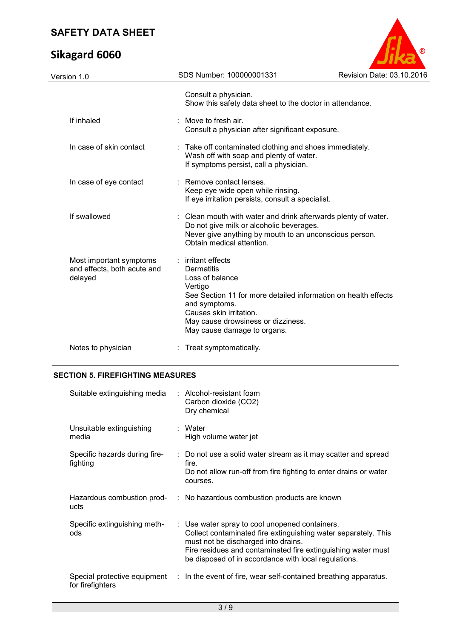# **Sikagard 6060**



| Version 1.0                                                       | SDS Number: 100000001331                                                                                                                                                      | Revision Date: 03.10.2016                                                                                                |
|-------------------------------------------------------------------|-------------------------------------------------------------------------------------------------------------------------------------------------------------------------------|--------------------------------------------------------------------------------------------------------------------------|
|                                                                   | Consult a physician.                                                                                                                                                          | Show this safety data sheet to the doctor in attendance.                                                                 |
| If inhaled                                                        | Move to fresh air.<br>Consult a physician after significant exposure.                                                                                                         |                                                                                                                          |
| In case of skin contact                                           | Wash off with soap and plenty of water.<br>If symptoms persist, call a physician.                                                                                             | : Take off contaminated clothing and shoes immediately.                                                                  |
| In case of eye contact                                            | : Remove contact lenses.<br>Keep eye wide open while rinsing.<br>If eye irritation persists, consult a specialist.                                                            |                                                                                                                          |
| If swallowed                                                      | Do not give milk or alcoholic beverages.<br>Obtain medical attention.                                                                                                         | : Clean mouth with water and drink afterwards plenty of water.<br>Never give anything by mouth to an unconscious person. |
| Most important symptoms<br>and effects, both acute and<br>delayed | irritant effects<br>Dermatitis<br>Loss of balance<br>Vertigo<br>and symptoms.<br>Causes skin irritation.<br>May cause drowsiness or dizziness.<br>May cause damage to organs. | See Section 11 for more detailed information on health effects                                                           |
| Notes to physician                                                | Treat symptomatically.                                                                                                                                                        |                                                                                                                          |
|                                                                   |                                                                                                                                                                               |                                                                                                                          |

### **SECTION 5. FIREFIGHTING MEASURES**

| Suitable extinguishing media              | $:$ Alcohol-resistant foam<br>Carbon dioxide (CO2)<br>Dry chemical                                                                                                                                                                                                              |
|-------------------------------------------|---------------------------------------------------------------------------------------------------------------------------------------------------------------------------------------------------------------------------------------------------------------------------------|
| Unsuitable extinguishing<br>media         | : Water<br>High volume water jet                                                                                                                                                                                                                                                |
| Specific hazards during fire-<br>fighting | : Do not use a solid water stream as it may scatter and spread<br>fire.<br>Do not allow run-off from fire fighting to enter drains or water<br>courses.                                                                                                                         |
| ucts                                      | Hazardous combustion prod- : No hazardous combustion products are known                                                                                                                                                                                                         |
| Specific extinguishing meth-<br>ods       | : Use water spray to cool unopened containers.<br>Collect contaminated fire extinguishing water separately. This<br>must not be discharged into drains.<br>Fire residues and contaminated fire extinguishing water must<br>be disposed of in accordance with local regulations. |
| for firefighters                          | Special protective equipment : In the event of fire, wear self-contained breathing apparatus.                                                                                                                                                                                   |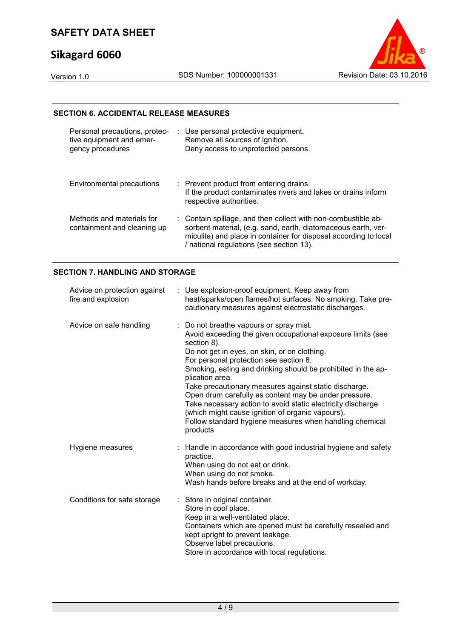# **Sikagard 6060**



#### **SECTION 6. ACCIDENTAL RELEASE MEASURES**

| Personal precautions, protec-<br>tive equipment and emer-<br>gency procedures | : Use personal protective equipment.<br>Remove all sources of ignition.<br>Deny access to unprotected persons.                                                                                                                                 |
|-------------------------------------------------------------------------------|------------------------------------------------------------------------------------------------------------------------------------------------------------------------------------------------------------------------------------------------|
| Environmental precautions                                                     | : Prevent product from entering drains.<br>If the product contaminates rivers and lakes or drains inform<br>respective authorities.                                                                                                            |
| Methods and materials for<br>containment and cleaning up                      | : Contain spillage, and then collect with non-combustible ab-<br>sorbent material, (e.g. sand, earth, diatomaceous earth, ver-<br>miculite) and place in container for disposal according to local<br>/ national regulations (see section 13). |

#### **SECTION 7. HANDLING AND STORAGE**

| Advice on protection against<br>fire and explosion | : Use explosion-proof equipment. Keep away from<br>heat/sparks/open flames/hot surfaces. No smoking. Take pre-<br>cautionary measures against electrostatic discharges.                                                                                                                                                                                                                                                                                                                                                                                                                                        |
|----------------------------------------------------|----------------------------------------------------------------------------------------------------------------------------------------------------------------------------------------------------------------------------------------------------------------------------------------------------------------------------------------------------------------------------------------------------------------------------------------------------------------------------------------------------------------------------------------------------------------------------------------------------------------|
| Advice on safe handling                            | : Do not breathe vapours or spray mist.<br>Avoid exceeding the given occupational exposure limits (see<br>section 8).<br>Do not get in eyes, on skin, or on clothing.<br>For personal protection see section 8.<br>Smoking, eating and drinking should be prohibited in the ap-<br>plication area.<br>Take precautionary measures against static discharge.<br>Open drum carefully as content may be under pressure.<br>Take necessary action to avoid static electricity discharge<br>(which might cause ignition of organic vapours).<br>Follow standard hygiene measures when handling chemical<br>products |
| Hygiene measures                                   | Handle in accordance with good industrial hygiene and safety<br>practice.<br>When using do not eat or drink.<br>When using do not smoke.<br>Wash hands before breaks and at the end of workday.                                                                                                                                                                                                                                                                                                                                                                                                                |
| Conditions for safe storage                        | : Store in original container.<br>Store in cool place.<br>Keep in a well-ventilated place.<br>Containers which are opened must be carefully resealed and<br>kept upright to prevent leakage.<br>Observe label precautions.<br>Store in accordance with local regulations.                                                                                                                                                                                                                                                                                                                                      |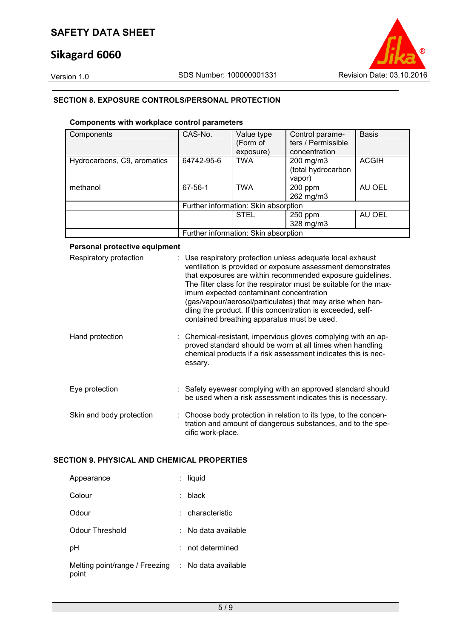## **Sikagard 6060**



#### **SECTION 8. EXPOSURE CONTROLS/PERSONAL PROTECTION**

#### **Components with workplace control parameters**

| Components                  | CAS-No.                              | Value type<br>(Form of<br>exposure)  | Control parame-<br>ters / Permissible<br>concentration | <b>Basis</b> |
|-----------------------------|--------------------------------------|--------------------------------------|--------------------------------------------------------|--------------|
| Hydrocarbons, C9, aromatics | 64742-95-6                           | <b>TWA</b>                           | 200 mg/m3<br>(total hydrocarbon<br>vapor)              | <b>ACGIH</b> |
| methanol                    | $67 - 56 - 1$                        | <b>TWA</b>                           | 200 ppm<br>262 mg/m3                                   | AU OEL       |
|                             |                                      | Further information: Skin absorption |                                                        |              |
|                             |                                      | <b>STEL</b>                          | 250 ppm<br>328 mg/m3                                   | AU OEL       |
|                             | Further information: Skin absorption |                                      |                                                        |              |

#### **Personal protective equipment**

| Respiratory protection   | : Use respiratory protection unless adequate local exhaust<br>ventilation is provided or exposure assessment demonstrates<br>that exposures are within recommended exposure guidelines.<br>The filter class for the respirator must be suitable for the max-<br>imum expected contaminant concentration<br>(gas/vapour/aerosol/particulates) that may arise when han-<br>dling the product. If this concentration is exceeded, self-<br>contained breathing apparatus must be used. |
|--------------------------|-------------------------------------------------------------------------------------------------------------------------------------------------------------------------------------------------------------------------------------------------------------------------------------------------------------------------------------------------------------------------------------------------------------------------------------------------------------------------------------|
| Hand protection          | : Chemical-resistant, impervious gloves complying with an ap-<br>proved standard should be worn at all times when handling<br>chemical products if a risk assessment indicates this is nec-<br>essary.                                                                                                                                                                                                                                                                              |
| Eye protection           | : Safety eyewear complying with an approved standard should<br>be used when a risk assessment indicates this is necessary.                                                                                                                                                                                                                                                                                                                                                          |
| Skin and body protection | : Choose body protection in relation to its type, to the concen-<br>tration and amount of dangerous substances, and to the spe-<br>cific work-place.                                                                                                                                                                                                                                                                                                                                |

#### **SECTION 9. PHYSICAL AND CHEMICAL PROPERTIES**

| Appearance                              | liquid              |
|-----------------------------------------|---------------------|
| Colour                                  | black               |
| Odour                                   | : characteristic    |
| Odour Threshold                         | No data available   |
| рH                                      | not determined      |
| Melting point/range / Freezing<br>point | : No data available |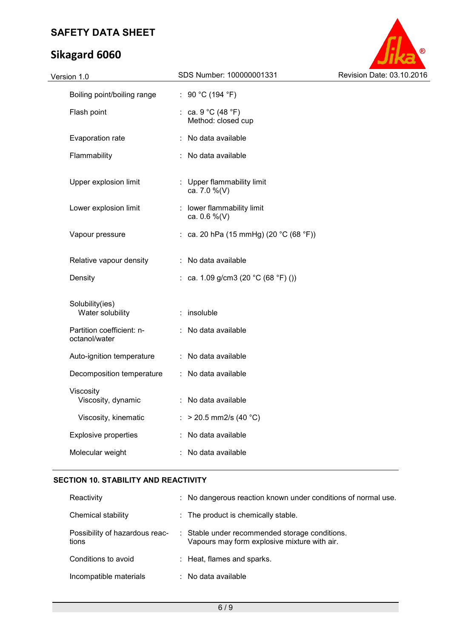# **Sikagard 6060**



| Version 1.0                                | SDS Number: 100000001331                   | Revision Date: 03.10.2016 |
|--------------------------------------------|--------------------------------------------|---------------------------|
| Boiling point/boiling range                | : 90 °C (194 °F)                           |                           |
| Flash point                                | : ca. $9 °C$ (48 °F)<br>Method: closed cup |                           |
| Evaporation rate                           | : No data available                        |                           |
| Flammability                               | : No data available                        |                           |
| Upper explosion limit                      | : Upper flammability limit<br>ca. 7.0 %(V) |                           |
| Lower explosion limit                      | : lower flammability limit<br>ca. 0.6 %(V) |                           |
| Vapour pressure                            | : ca. 20 hPa (15 mmHg) (20 °C (68 °F))     |                           |
| Relative vapour density                    | : No data available                        |                           |
| Density                                    | : ca. 1.09 g/cm3 (20 °C (68 °F) ())        |                           |
| Solubility(ies)<br>Water solubility        | $:$ insoluble                              |                           |
| Partition coefficient: n-<br>octanol/water | : No data available                        |                           |
| Auto-ignition temperature                  | : No data available                        |                           |
| Decomposition temperature                  | : No data available                        |                           |
| Viscosity<br>Viscosity, dynamic            | : No data available                        |                           |
| Viscosity, kinematic                       | : > 20.5 mm2/s (40 °C)                     |                           |
| <b>Explosive properties</b>                | $\therefore$ No data available             |                           |
| Molecular weight                           | : No data available                        |                           |
|                                            |                                            |                           |

## **SECTION 10. STABILITY AND REACTIVITY**

| Reactivity                              | : No dangerous reaction known under conditions of normal use.                                  |
|-----------------------------------------|------------------------------------------------------------------------------------------------|
| Chemical stability                      | : The product is chemically stable.                                                            |
| Possibility of hazardous reac-<br>tions | : Stable under recommended storage conditions.<br>Vapours may form explosive mixture with air. |
| Conditions to avoid                     | : Heat, flames and sparks.                                                                     |
| Incompatible materials                  | $:$ No data available                                                                          |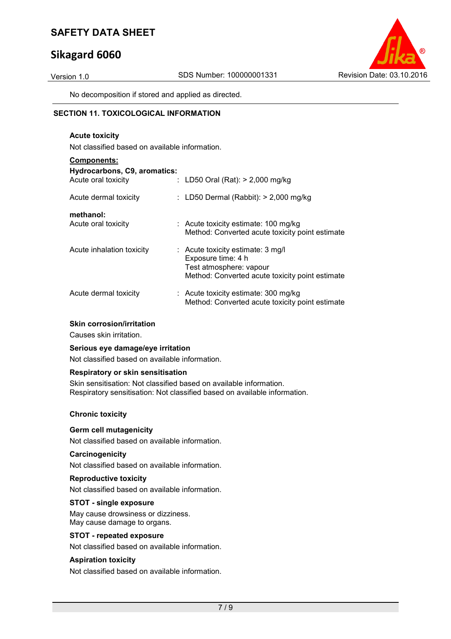## **Sikagard 6060**



No decomposition if stored and applied as directed.

#### **SECTION 11. TOXICOLOGICAL INFORMATION**

#### **Acute toxicity**  Not classified based on available information.

| <b>Components:</b>                                  |                                                                                                                                         |
|-----------------------------------------------------|-----------------------------------------------------------------------------------------------------------------------------------------|
| Hydrocarbons, C9, aromatics:<br>Acute oral toxicity | : LD50 Oral (Rat): $> 2,000$ mg/kg                                                                                                      |
| Acute dermal toxicity                               | : LD50 Dermal (Rabbit): $> 2,000$ mg/kg                                                                                                 |
| methanol:<br>Acute oral toxicity                    | $:$ Acute toxicity estimate: 100 mg/kg<br>Method: Converted acute toxicity point estimate                                               |
| Acute inhalation toxicity                           | $:$ Acute toxicity estimate: 3 mg/l<br>Exposure time: 4 h<br>Test atmosphere: vapour<br>Method: Converted acute toxicity point estimate |
| Acute dermal toxicity                               | $:$ Acute toxicity estimate: 300 mg/kg<br>Method: Converted acute toxicity point estimate                                               |

#### **Skin corrosion/irritation**

Causes skin irritation.

#### **Serious eye damage/eye irritation**

Not classified based on available information.

#### **Respiratory or skin sensitisation**

Skin sensitisation: Not classified based on available information. Respiratory sensitisation: Not classified based on available information.

#### **Chronic toxicity**

#### **Germ cell mutagenicity**

Not classified based on available information.

#### **Carcinogenicity**

Not classified based on available information.

#### **Reproductive toxicity**

Not classified based on available information.

#### **STOT - single exposure**

May cause drowsiness or dizziness. May cause damage to organs.

#### **STOT - repeated exposure**

Not classified based on available information.

#### **Aspiration toxicity**

Not classified based on available information.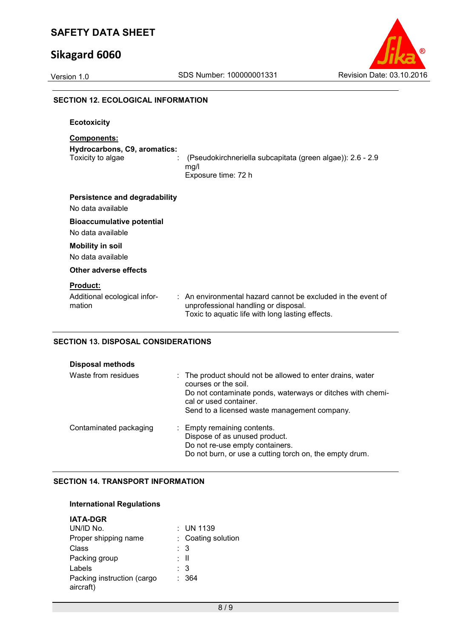## **Sikagard 6060**



#### **SECTION 12. ECOLOGICAL INFORMATION**

**Ecotoxicity** 

#### **Components:**

**Hydrocarbons, C9, aromatics:** 

Toxicity to algae : (Pseudokirchneriella subcapitata (green algae)): 2.6 - 2.9 mg/l Exposure time: 72 h

No data available

#### **Bioaccumulative potential**

No data available

#### **Mobility in soil**

No data available

#### **Other adverse effects**

#### **Product:**

Additional ecological information : An environmental hazard cannot be excluded in the event of unprofessional handling or disposal. Toxic to aquatic life with long lasting effects.

#### **SECTION 13. DISPOSAL CONSIDERATIONS**

| <b>Disposal methods</b> |                                                                                                                                                                                                                            |
|-------------------------|----------------------------------------------------------------------------------------------------------------------------------------------------------------------------------------------------------------------------|
| Waste from residues     | : The product should not be allowed to enter drains, water<br>courses or the soil.<br>Do not contaminate ponds, waterways or ditches with chemi-<br>cal or used container.<br>Send to a licensed waste management company. |
| Contaminated packaging  | : Empty remaining contents.<br>Dispose of as unused product.<br>Do not re-use empty containers.<br>Do not burn, or use a cutting torch on, the empty drum.                                                                 |

#### **SECTION 14. TRANSPORT INFORMATION**

#### **International Regulations**

| <b>IATA-DGR</b>                         |                    |
|-----------------------------------------|--------------------|
| UN/ID No.                               | $:$ UN 1139        |
| Proper shipping name                    | : Coating solution |
| Class                                   | : 3                |
| Packing group                           | : II               |
| Labels                                  | : 3                |
| Packing instruction (cargo<br>aircraft) | : 364              |